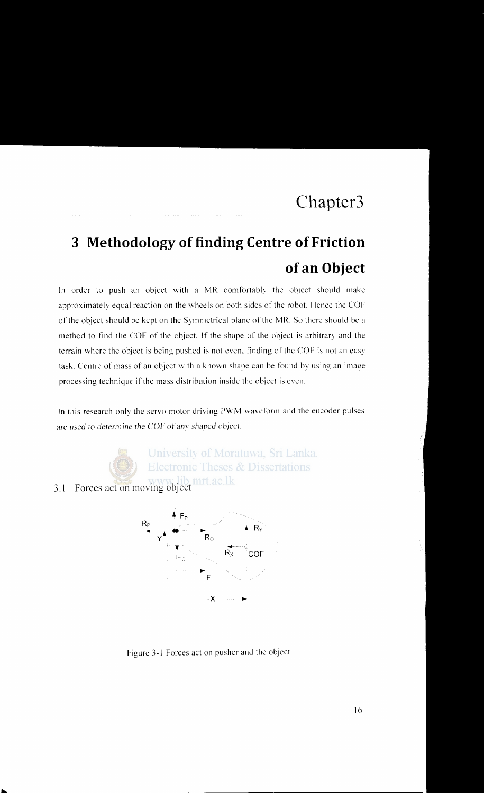## **3 Methodology of finding Centre of Friction of an Object**

In order to push an object with a MR comfortably the object should make approximately equal reaction on the wheels on both sides of the robot. Hence the COF of the object should be kept on the Symmetrical plane ofthc MR. So there should be a method to find the COF of the object. If the shape of the object is arbitrary and the terrain where the object is being pushed is not even. tinding of the COF is not an easy task. Centre of mass of an object with a known shape can be found by using an image processing technique if the mass distribution inside the object is even.

In this research only the servo motor driving PWM waveform and the encoder pulses are used to determine the COF of any shaped object.



University of Moratuwa, Sri Lanka. **Electronic Theses & Dissertations** 

3.1 Forces act on moving object



Figure 3-1 Forces act on pusher and the object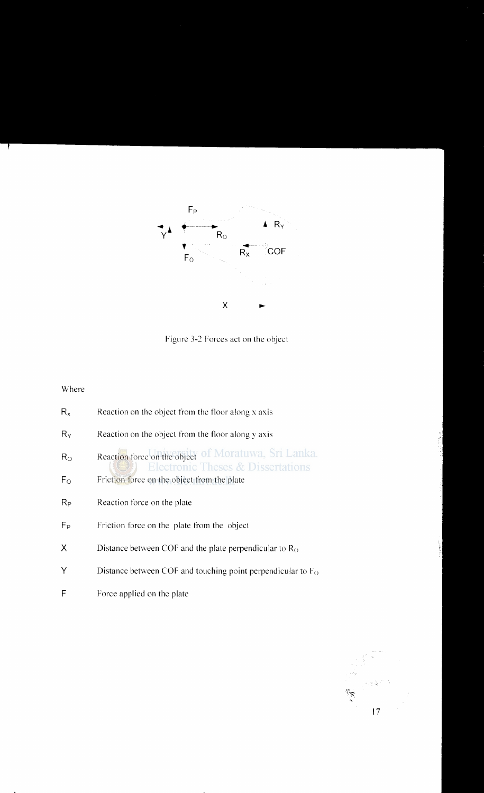

Figure 3-2 Forces act on the object

## Where

| $R_{x}$     | Reaction on the object from the floor along x axis                                        |
|-------------|-------------------------------------------------------------------------------------------|
| $R_Y$       | Reaction on the object from the floor along y axis                                        |
| $R_{\rm O}$ | Reaction force on the object of Moratuwa, Sri Lanka.<br>Electronic Theses & Dissertations |
| $F_{O}$     | Friction force on the object from the plate                                               |
| $R_{P}$     | Reaction force on the plate                                                               |
| $F_P$       | Friction force on the plate from the object                                               |
| χ           | Distance between COF and the plate perpendicular to $R_0$                                 |
| Υ           | Distance between COF and touching point perpendicular to $F_O$                            |
| F           | Force applied on the plate                                                                |

 $\mathcal{L}$ 17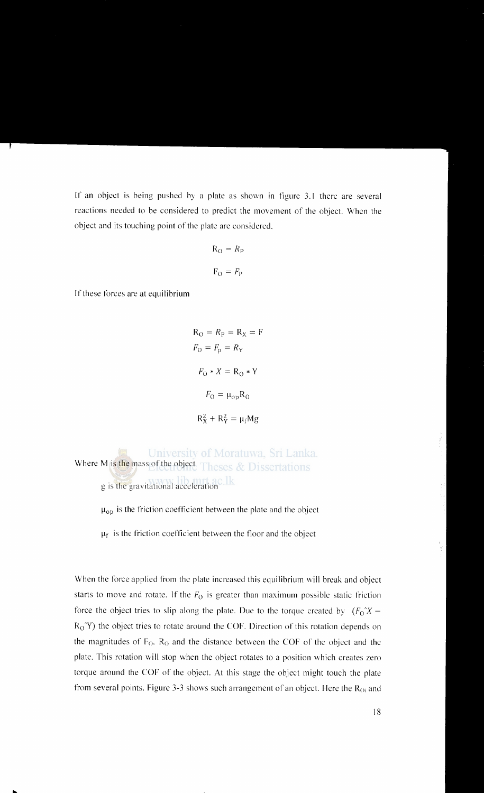If an object is being pushed by a plate as shown in figure 3.1 there are several reactions needed to be considered to predict the movement of the object. When the object and its touching point of the plate are considered.

$$
R_{O} = R_{P}
$$

$$
F_{O} = F_{P}
$$

If these forces are at equilibrium

$$
R_O = R_P = R_X = F
$$
  

$$
F_O = F_p = R_Y
$$
  

$$
F_O * X = R_O * Y
$$
  

$$
F_O = \mu_{op} R_O
$$
  

$$
R_X^2 + R_Y^2 = \mu_f Mg
$$

University of Moratuwa, Sri Lanka. Where M is the mass of the object Theses & Dissertations g is the gravitational acceleration

 $\mu_{\text{op}}$  is the friction coefficient between the plate and the object

 $\mu_f$  is the friction coefficient between the floor and the object

When the force applied from the plate increased this equilibrium will break and object starts to move and rotate. If the  $F_0$  is greater than maximum possible static friction force the object tries to slip along the plate. Due to the torque created by  $(F_0 X R_0$ <sup>Y</sup>) the object tries to rotate around the COF. Direction of this rotation depends on the magnitudes of  $F<sub>O</sub>$ ,  $R<sub>O</sub>$  and the distance between the COF of the object and the plate. This rotation will stop when the object rotates to a position which creates zero torque around the COF of the object. At this stage the object might touch the plate from several points. Figure 3-3 shows such arrangement of an object. Here the  $R<sub>Oi</sub>$  and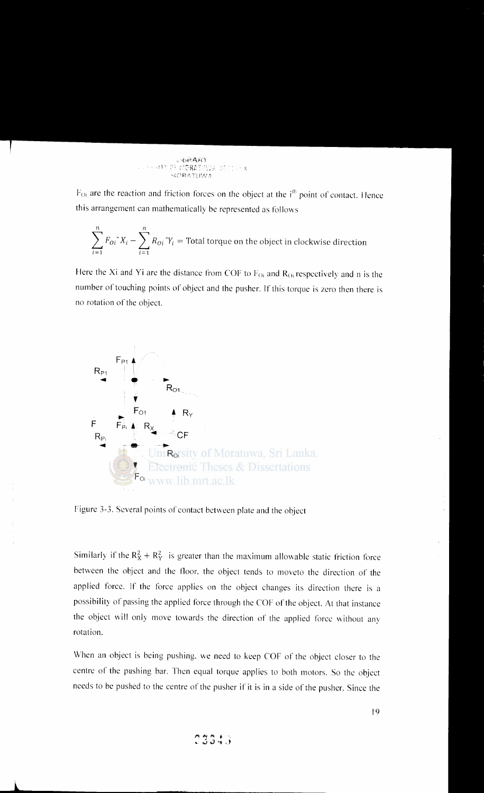$F_{Oi}$  are the reaction and friction forces on the object at the i<sup>th</sup> point of contact. Hence this arrangement can mathematically be represented as follows

$$
\sum_{i=1}^{n} F_{0i}^{\dagger} X_i - \sum_{i=1}^{n} R_{0i}^{\dagger} Y_i
$$
 = Total torque on the object in clockwise direction

Here the Xi and Yi are the distance from COF to  $F_{0i}$  and  $R_{0i}$  respectively and n is the number of touching points of object and the pusher. If this torque is zero then there is no rotation of the object.



Figure 3-3. Several points of contact between plate and the object

Similarly if the  $R_X^2 + R_Y^2$  is greater than the maximum allowable static friction force between the object and the floor. the object tends to moveto the direction of the applied force. If the force applies on the object changes its direction there is a possibility of passing the applied force through the COF of the object. At that instance the object will only move towards the direction of the applied force without any rotation.

When an object is being pushing. we need to keep COF of the object closer to the centre of the pushing bar. Then equal torque applies to both motors. So the object needs to be pushed to the centre of the pusher if it is in a side of the pusher. Since the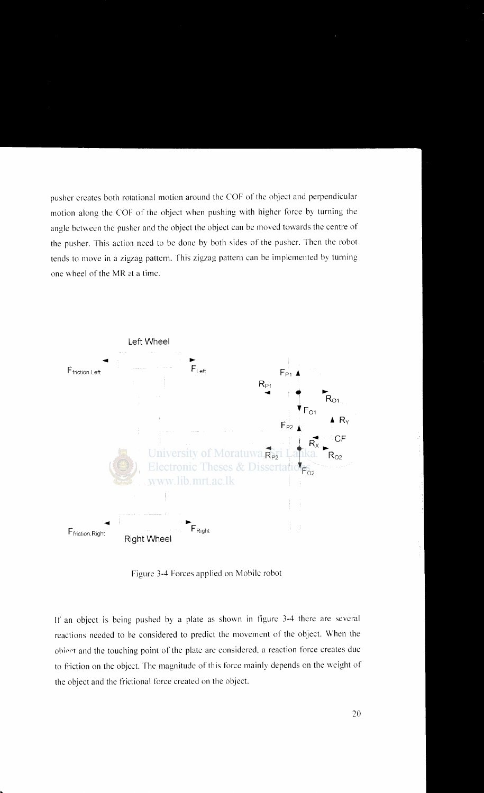pusher creates both rotational motion around the COF of the object and perpendicular motion along the COF of the object when pushing with higher force by turning the angle between the pusher and the object the object can be moved towards the centre of the pusher. This action need to be done by both sides of the pusher. Then the robot tends to move in a zigzag pattern. This zigzag pattern can be implemented by turning one wheel of the MR at a time.



Figure 3-4 Forces applied on Mobile robot

If an object is being pushed by a plate as shown in figure 3-4 there are several reactions needed to be considered to predict the movement of the object. When the obiect and the touching point of the plate are considered, a reaction force creates due to friction on the object. The magnitude of this force mainly depends on the weight of the object and the frictional force created on the object.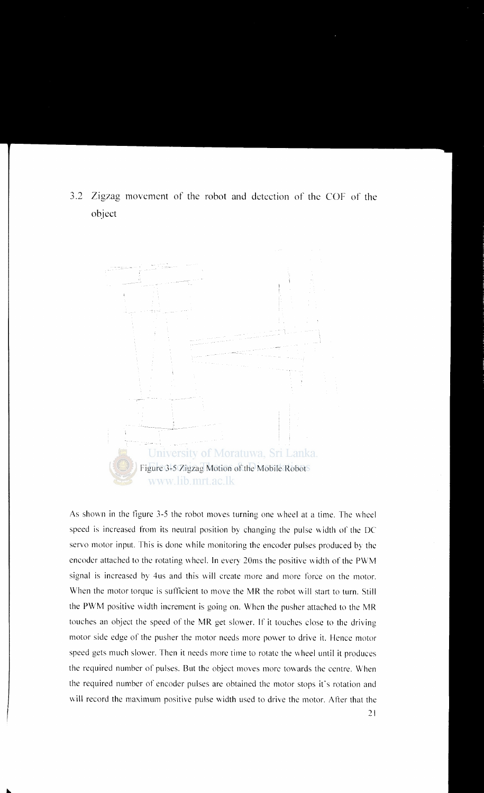3.2 Zigzag movement of the robot and detection of the COF of the object



As shown in the figure 3-5 the robot moves turning one wheel at a time. The wheel speed is increased from its neutral position by changing the pulse width of the DC servo motor input. This is done while monitoring the encoder pulses produced by the encoder attached to the rotating wheel. In every 20ms the positive width of the PWM signal is increased by 4us and this will create more and more force on the motor. When the motor torque is sufficient to move the MR the robot will start to turn. Still the PWM positive width increment is going on. When the pusher attached to the MR touches an object the speed of the MR get slower. If it touches close to the driving motor side edge of the pusher the motor needs more power to drive it. Hence motor speed gets much slower. Then it needs more time to rotate the wheel until it produces the required number of pulses. But the object moves more towards the centre. When the required number of encoder pulses are obtained the motor stops it's rotation and will record the maximum positive pulse width used to drive the motor. After that the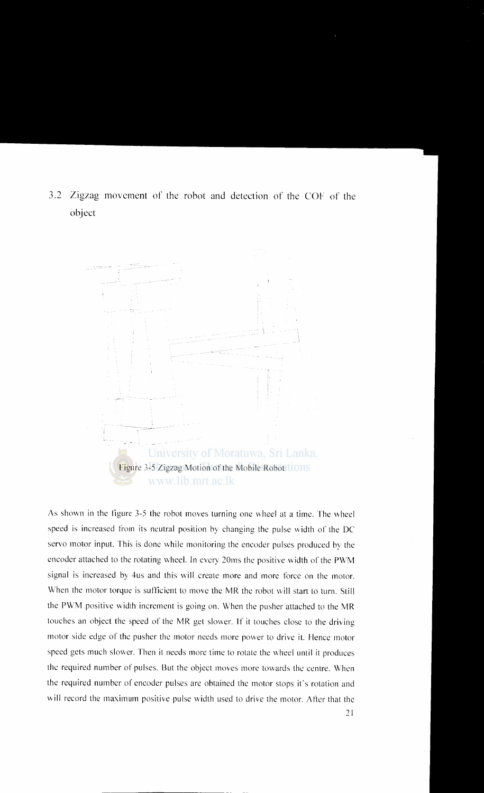3.2 Zigzag movement of the rohot and detection of the COF of the ohject



As shown in the figure 3-5 the robot moves turning one wheel at a time. The wheel speed is increased from its neutral position by changing the pulse width of the DC servo motor input. This is done while monitoring the encoder pulses produced by the encoder attached to the rotating wheel. In every 20ms the positive width of the PWM signal is increased by 4us and this will create more and more force on the motor. When the motor torque is sufficient to move the MR the robot will start to turn. Still the PWM positive width increment is going on. When the pusher attached to the MR touches an object the speed of the MR get slower. If it touches close to the driving motor side edge of the pusher the motor needs more power to drive it. Hence motor speed gets much slower. Then it needs more time to rotate the wheel until it produces the required number of pulses. But the object moves more towards the centre. When the required number of encoder pulses are obtained the motor stops it's rotation and will record the maximum positive pulse width used to drive the motor. After that the